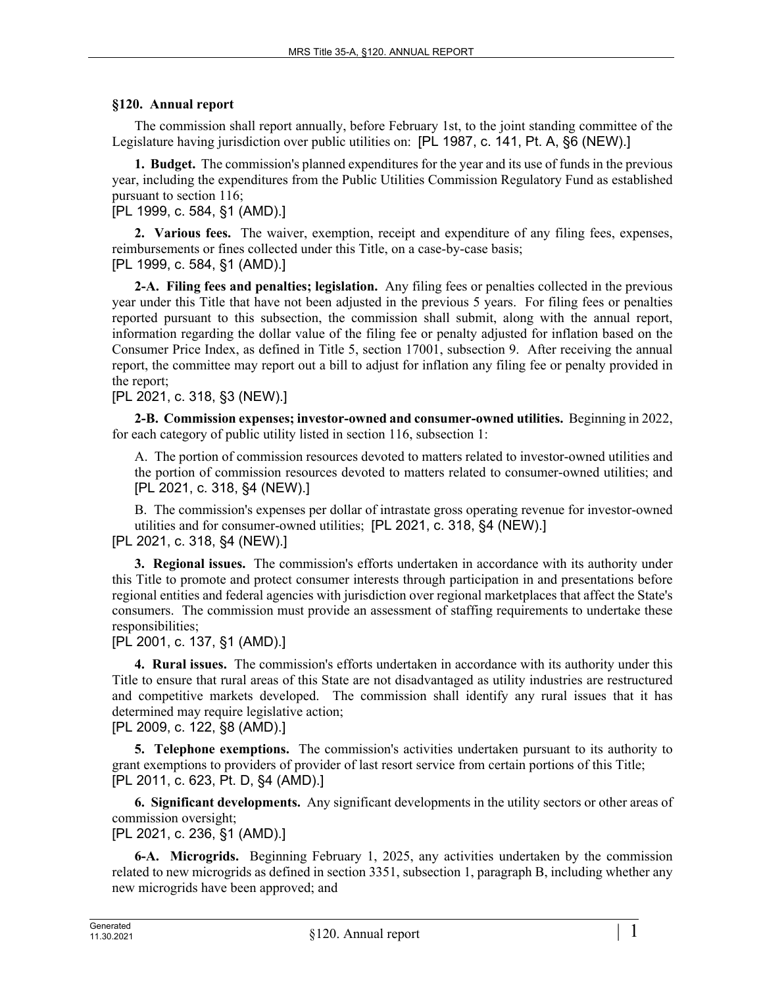## **§120. Annual report**

The commission shall report annually, before February 1st, to the joint standing committee of the Legislature having jurisdiction over public utilities on: [PL 1987, c. 141, Pt. A, §6 (NEW).]

**1. Budget.** The commission's planned expenditures for the year and its use of funds in the previous year, including the expenditures from the Public Utilities Commission Regulatory Fund as established pursuant to section 116;

[PL 1999, c. 584, §1 (AMD).]

**2. Various fees.** The waiver, exemption, receipt and expenditure of any filing fees, expenses, reimbursements or fines collected under this Title, on a case-by-case basis; [PL 1999, c. 584, §1 (AMD).]

**2-A. Filing fees and penalties; legislation.** Any filing fees or penalties collected in the previous year under this Title that have not been adjusted in the previous 5 years. For filing fees or penalties reported pursuant to this subsection, the commission shall submit, along with the annual report, information regarding the dollar value of the filing fee or penalty adjusted for inflation based on the Consumer Price Index, as defined in Title 5, section 17001, subsection 9. After receiving the annual report, the committee may report out a bill to adjust for inflation any filing fee or penalty provided in the report;

[PL 2021, c. 318, §3 (NEW).]

**2-B. Commission expenses; investor-owned and consumer-owned utilities.** Beginning in 2022, for each category of public utility listed in section 116, subsection 1:

A. The portion of commission resources devoted to matters related to investor-owned utilities and the portion of commission resources devoted to matters related to consumer-owned utilities; and [PL 2021, c. 318, §4 (NEW).]

B. The commission's expenses per dollar of intrastate gross operating revenue for investor-owned utilities and for consumer-owned utilities; [PL 2021, c. 318, §4 (NEW).]

[PL 2021, c. 318, §4 (NEW).]

**3. Regional issues.** The commission's efforts undertaken in accordance with its authority under this Title to promote and protect consumer interests through participation in and presentations before regional entities and federal agencies with jurisdiction over regional marketplaces that affect the State's consumers. The commission must provide an assessment of staffing requirements to undertake these responsibilities;

[PL 2001, c. 137, §1 (AMD).]

**4. Rural issues.** The commission's efforts undertaken in accordance with its authority under this Title to ensure that rural areas of this State are not disadvantaged as utility industries are restructured and competitive markets developed. The commission shall identify any rural issues that it has determined may require legislative action;

[PL 2009, c. 122, §8 (AMD).]

**5. Telephone exemptions.** The commission's activities undertaken pursuant to its authority to grant exemptions to providers of provider of last resort service from certain portions of this Title; [PL 2011, c. 623, Pt. D, §4 (AMD).]

**6. Significant developments.** Any significant developments in the utility sectors or other areas of commission oversight;

[PL 2021, c. 236, §1 (AMD).]

**6-A. Microgrids.** Beginning February 1, 2025, any activities undertaken by the commission related to new microgrids as defined in section 3351, subsection 1, paragraph B, including whether any new microgrids have been approved; and